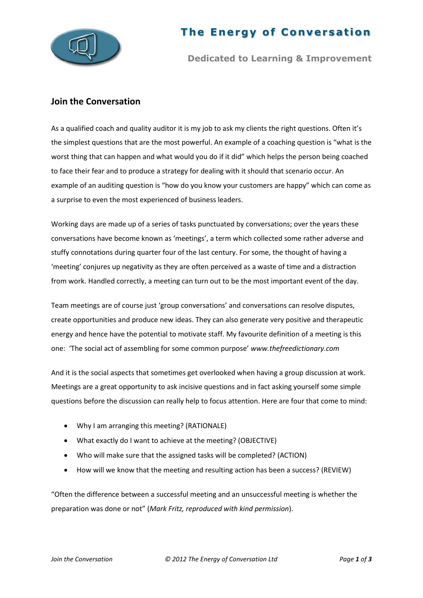

## **The Energy of Conversation**

**Dedicated to Learning & Improvement**

## **Join the Conversation**

As a qualified coach and quality auditor it is my job to ask my clients the right questions. Often it's the simplest questions that are the most powerful. An example of a coaching question is "what is the worst thing that can happen and what would you do if it did" which helps the person being coached to face their fear and to produce a strategy for dealing with it should that scenario occur. An example of an auditing question is "how do you know your customers are happy" which can come as a surprise to even the most experienced of business leaders.

Working days are made up of a series of tasks punctuated by conversations; over the years these conversations have become known as 'meetings', a term which collected some rather adverse and stuffy connotations during quarter four of the last century. For some, the thought of having a 'meeting' conjures up negativity as they are often perceived as a waste of time and a distraction from work. Handled correctly, a meeting can turn out to be the most important event of the day.

Team meetings are of course just 'group conversations' and conversations can resolve disputes, create opportunities and produce new ideas. They can also generate very positive and therapeutic energy and hence have the potential to motivate staff. My favourite definition of a meeting is this one: 'The social act of assembling for some common purpose' *www.thefreedictionary.com* 

And it is the social aspects that sometimes get overlooked when having a group discussion at work. Meetings are a great opportunity to ask incisive questions and in fact asking yourself some simple questions before the discussion can really help to focus attention. Here are four that come to mind:

- Why I am arranging this meeting? (RATIONALE)
- What exactly do I want to achieve at the meeting? (OBJECTIVE)
- Who will make sure that the assigned tasks will be completed? (ACTION)
- How will we know that the meeting and resulting action has been a success? (REVIEW)

"Often the difference between a successful meeting and an unsuccessful meeting is whether the preparation was done or not" (*Mark Fritz, reproduced with kind permission*).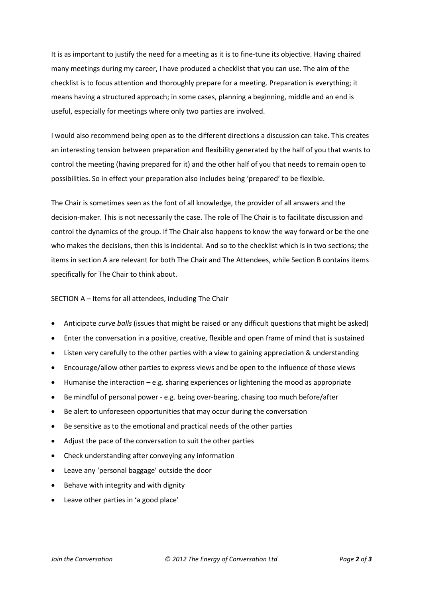It is as important to justify the need for a meeting as it is to fine-tune its objective. Having chaired many meetings during my career, I have produced a checklist that you can use. The aim of the checklist is to focus attention and thoroughly prepare for a meeting. Preparation is everything; it means having a structured approach; in some cases, planning a beginning, middle and an end is useful, especially for meetings where only two parties are involved.

I would also recommend being open as to the different directions a discussion can take. This creates an interesting tension between preparation and flexibility generated by the half of you that wants to control the meeting (having prepared for it) and the other half of you that needs to remain open to possibilities. So in effect your preparation also includes being 'prepared' to be flexible.

The Chair is sometimes seen as the font of all knowledge, the provider of all answers and the decision-maker. This is not necessarily the case. The role of The Chair is to facilitate discussion and control the dynamics of the group. If The Chair also happens to know the way forward or be the one who makes the decisions, then this is incidental. And so to the checklist which is in two sections; the items in section A are relevant for both The Chair and The Attendees, while Section B contains items specifically for The Chair to think about.

## SECTION A – Items for all attendees, including The Chair

- Anticipate *curve balls* (issues that might be raised or any difficult questions that might be asked)
- Enter the conversation in a positive, creative, flexible and open frame of mind that is sustained
- Listen very carefully to the other parties with a view to gaining appreciation & understanding
- Encourage/allow other parties to express views and be open to the influence of those views
- Humanise the interaction e.g. sharing experiences or lightening the mood as appropriate
- Be mindful of personal power e.g. being over-bearing, chasing too much before/after
- Be alert to unforeseen opportunities that may occur during the conversation
- Be sensitive as to the emotional and practical needs of the other parties
- Adjust the pace of the conversation to suit the other parties
- Check understanding after conveying any information
- Leave any 'personal baggage' outside the door
- Behave with integrity and with dignity
- Leave other parties in 'a good place'